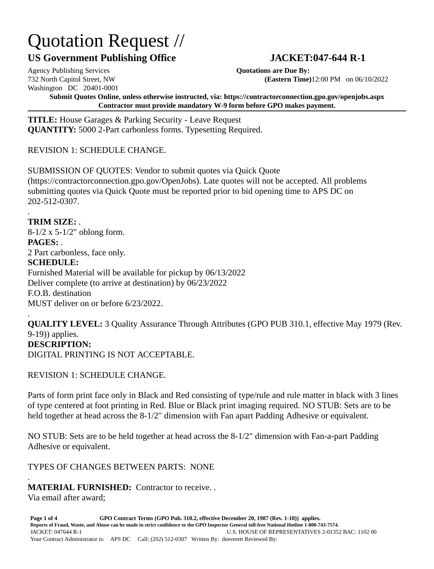## Quotation Request //

## **US Government Publishing Office JACKET:047-644 R-1**

Agency Publishing Services **Quotations are Due By:** Washington DC 20401-0001

.

732 North Capitol Street, NW **(Eastern Time)**12:00 PM on 06/10/2022

**Submit Quotes Online, unless otherwise instructed, via: https://contractorconnection.gpo.gov/openjobs.aspx Contractor must provide mandatory W-9 form before GPO makes payment.**

**TITLE:** House Garages & Parking Security - Leave Request **QUANTITY:** 5000 2-Part carbonless forms. Typesetting Required.

REVISION 1: SCHEDULE CHANGE.

SUBMISSION OF QUOTES: Vendor to submit quotes via Quick Quote (https://contractorconnection.gpo.gov/OpenJobs). Late quotes will not be accepted. All problems submitting quotes via Quick Quote must be reported prior to bid opening time to APS DC on 202-512-0307.

**TRIM SIZE:** . 8-1/2 x 5-1/2" oblong form. **PAGES:** . 2 Part carbonless, face only. **SCHEDULE:** Furnished Material will be available for pickup by 06/13/2022 Deliver complete (to arrive at destination) by 06/23/2022 F.O.B. destination MUST deliver on or before 6/23/2022.

. **QUALITY LEVEL:** 3 Quality Assurance Through Attributes (GPO PUB 310.1, effective May 1979 (Rev. 9-19)) applies. **DESCRIPTION:** DIGITAL PRINTING IS NOT ACCEPTABLE.

REVISION 1: SCHEDULE CHANGE.

Parts of form print face only in Black and Red consisting of type/rule and rule matter in black with 3 lines of type centered at foot printing in Red. Blue or Black print imaging required. NO STUB: Sets are to be held together at head across the 8-1/2" dimension with Fan apart Padding Adhesive or equivalent.

NO STUB: Sets are to be held together at head across the 8-1/2" dimension with Fan-a-part Padding Adhesive or equivalent.

TYPES OF CHANGES BETWEEN PARTS: NONE

. **MATERIAL FURNISHED:** Contractor to receive. .

Via email after award;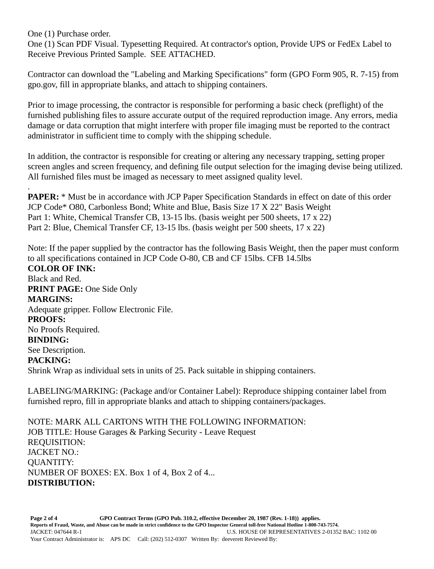One (1) Purchase order.

One (1) Scan PDF Visual. Typesetting Required. At contractor's option, Provide UPS or FedEx Label to Receive Previous Printed Sample. SEE ATTACHED.

Contractor can download the "Labeling and Marking Specifications" form (GPO Form 905, R. 7-15) from gpo.gov, fill in appropriate blanks, and attach to shipping containers.

Prior to image processing, the contractor is responsible for performing a basic check (preflight) of the furnished publishing files to assure accurate output of the required reproduction image. Any errors, media damage or data corruption that might interfere with proper file imaging must be reported to the contract administrator in sufficient time to comply with the shipping schedule.

In addition, the contractor is responsible for creating or altering any necessary trapping, setting proper screen angles and screen frequency, and defining file output selection for the imaging devise being utilized. All furnished files must be imaged as necessary to meet assigned quality level.

. **PAPER:** \* Must be in accordance with JCP Paper Specification Standards in effect on date of this order JCP Code\* O80, Carbonless Bond; White and Blue, Basis Size 17 X 22" Basis Weight Part 1: White, Chemical Transfer CB, 13-15 lbs. (basis weight per 500 sheets, 17 x 22) Part 2: Blue, Chemical Transfer CF, 13-15 lbs. (basis weight per 500 sheets, 17 x 22)

Note: If the paper supplied by the contractor has the following Basis Weight, then the paper must conform to all specifications contained in JCP Code O-80, CB and CF 15lbs. CFB 14.5lbs **COLOR OF INK:**

Black and Red. **PRINT PAGE:** One Side Only **MARGINS:** Adequate gripper. Follow Electronic File. **PROOFS:** No Proofs Required. **BINDING:** See Description. **PACKING:** Shrink Wrap as individual sets in units of 25. Pack suitable in shipping containers.

LABELING/MARKING: (Package and/or Container Label): Reproduce shipping container label from furnished repro, fill in appropriate blanks and attach to shipping containers/packages.

NOTE: MARK ALL CARTONS WITH THE FOLLOWING INFORMATION: JOB TITLE: House Garages & Parking Security - Leave Request REQUISITION: JACKET NO.: QUANTITY: NUMBER OF BOXES: EX. Box 1 of 4, Box 2 of 4... **DISTRIBUTION:**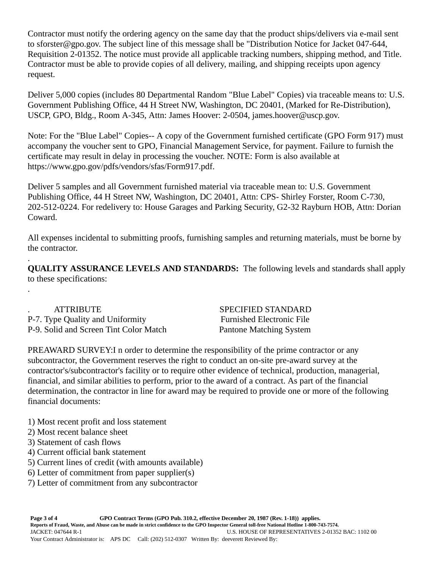Contractor must notify the ordering agency on the same day that the product ships/delivers via e-mail sent to sforster@gpo.gov. The subject line of this message shall be "Distribution Notice for Jacket 047-644, Requisition 2-01352. The notice must provide all applicable tracking numbers, shipping method, and Title. Contractor must be able to provide copies of all delivery, mailing, and shipping receipts upon agency request.

Deliver 5,000 copies (includes 80 Departmental Random "Blue Label" Copies) via traceable means to: U.S. Government Publishing Office, 44 H Street NW, Washington, DC 20401, (Marked for Re-Distribution), USCP, GPO, Bldg., Room A-345, Attn: James Hoover: 2-0504, james.hoover@uscp.gov.

Note: For the "Blue Label" Copies-- A copy of the Government furnished certificate (GPO Form 917) must accompany the voucher sent to GPO, Financial Management Service, for payment. Failure to furnish the certificate may result in delay in processing the voucher. NOTE: Form is also available at https://www.gpo.gov/pdfs/vendors/sfas/Form917.pdf.

Deliver 5 samples and all Government furnished material via traceable mean to: U.S. Government Publishing Office, 44 H Street NW, Washington, DC 20401, Attn: CPS- Shirley Forster, Room C-730, 202-512-0224. For redelivery to: House Garages and Parking Security, G2-32 Rayburn HOB, Attn: Dorian Coward.

All expenses incidental to submitting proofs, furnishing samples and returning materials, must be borne by the contractor.

. **QUALITY ASSURANCE LEVELS AND STANDARDS:** The following levels and standards shall apply to these specifications: .

ATTRIBUTE SPECIFIED STANDARD P-7. Type Quality and Uniformity Furnished Electronic File P-9. Solid and Screen Tint Color Match Pantone Matching System

PREAWARD SURVEY:I n order to determine the responsibility of the prime contractor or any subcontractor, the Government reserves the right to conduct an on-site pre-award survey at the contractor's/subcontractor's facility or to require other evidence of technical, production, managerial, financial, and similar abilities to perform, prior to the award of a contract. As part of the financial determination, the contractor in line for award may be required to provide one or more of the following financial documents:

- 1) Most recent profit and loss statement
- 2) Most recent balance sheet
- 3) Statement of cash flows
- 4) Current official bank statement
- 5) Current lines of credit (with amounts available)
- 6) Letter of commitment from paper supplier(s)
- 7) Letter of commitment from any subcontractor